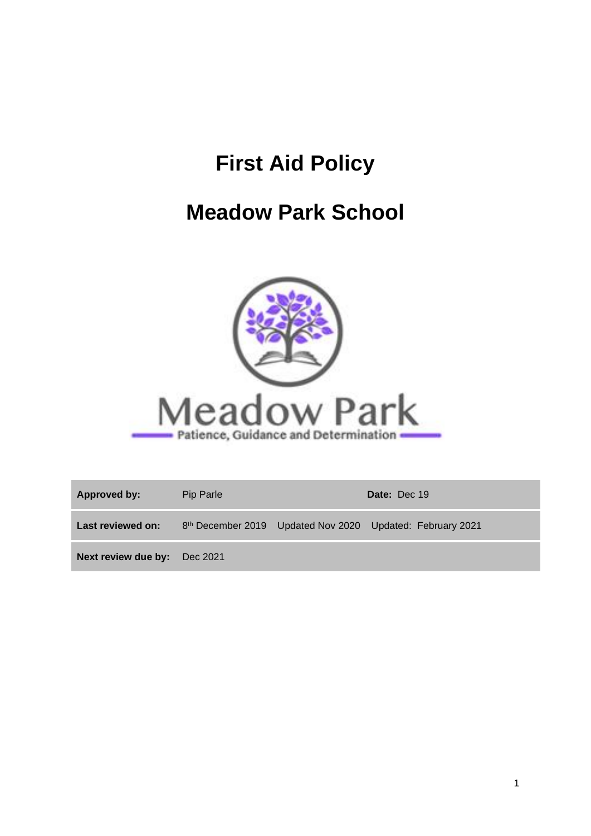# **First Aid Policy**

# **Meadow Park School**



| Approved by:                 | Pip Parle |  | Date: Dec 19                                              |  |
|------------------------------|-----------|--|-----------------------------------------------------------|--|
| Last reviewed on:            |           |  | 8th December 2019 Updated Nov 2020 Updated: February 2021 |  |
| Next review due by: Dec 2021 |           |  |                                                           |  |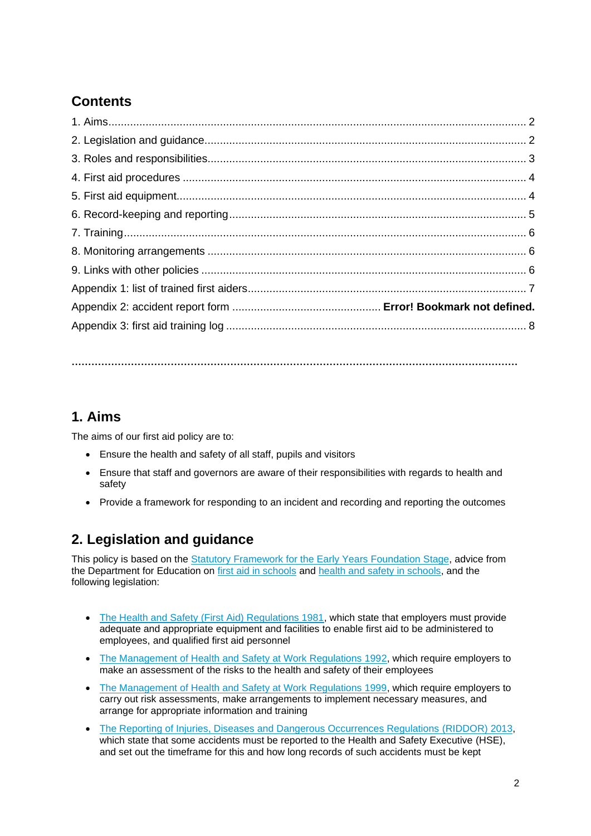# **Contents**

**………………………………………………………………………………………………………………………**

## **1. Aims**

The aims of our first aid policy are to:

- Ensure the health and safety of all staff, pupils and visitors
- Ensure that staff and governors are aware of their responsibilities with regards to health and safety
- Provide a framework for responding to an incident and recording and reporting the outcomes

## **2. Legislation and guidance**

This policy is based on the [Statutory Framework for the Early Years Foundation Stage,](https://www.gov.uk/government/uploads/system/uploads/attachment_data/file/596629/EYFS_STATUTORY_FRAMEWORK_2017.pdf) advice from the Department for Education on [first aid in schools](https://www.gov.uk/government/publications/first-aid-in-schools) and [health and safety in schools,](https://www.gov.uk/government/publications/health-and-safety-advice-for-schools) and the following legislation:

- [The Health and Safety \(First Aid\) Regulations 1981,](http://www.legislation.gov.uk/uksi/1981/917/regulation/3/made) which state that employers must provide adequate and appropriate equipment and facilities to enable first aid to be administered to employees, and qualified first aid personnel
- [The Management of Health and Safety at Work Regulations 1992,](http://www.legislation.gov.uk/uksi/1992/2051/regulation/3/made) which require employers to make an assessment of the risks to the health and safety of their employees
- [The Management of Health and Safety at Work Regulations 1999,](http://www.legislation.gov.uk/uksi/1999/3242/contents/made) which require employers to carry out risk assessments, make arrangements to implement necessary measures, and arrange for appropriate information and training
- [The Reporting of Injuries, Diseases and Dangerous Occurrences Regulations](http://www.legislation.gov.uk/uksi/2013/1471/schedule/1/paragraph/1/made) (RIDDOR) 2013, which state that some accidents must be reported to the Health and Safety Executive (HSE), and set out the timeframe for this and how long records of such accidents must be kept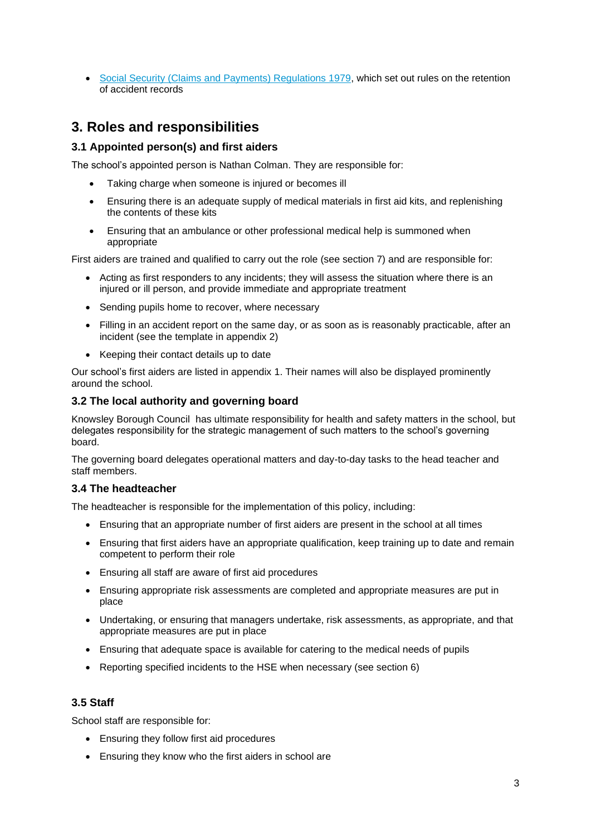• [Social Security \(Claims and Payments\) Regulations 1979,](http://www.legislation.gov.uk/uksi/1979/628) which set out rules on the retention of accident records

### **3. Roles and responsibilities**

#### **3.1 Appointed person(s) and first aiders**

The school's appointed person is Nathan Colman. They are responsible for:

- Taking charge when someone is injured or becomes ill
- Ensuring there is an adequate supply of medical materials in first aid kits, and replenishing the contents of these kits
- Ensuring that an ambulance or other professional medical help is summoned when appropriate

First aiders are trained and qualified to carry out the role (see section 7) and are responsible for:

- Acting as first responders to any incidents; they will assess the situation where there is an injured or ill person, and provide immediate and appropriate treatment
- Sending pupils home to recover, where necessary
- Filling in an accident report on the same day, or as soon as is reasonably practicable, after an incident (see the template in appendix 2)
- Keeping their contact details up to date

Our school's first aiders are listed in appendix 1. Their names will also be displayed prominently around the school.

#### **3.2 The local authority and governing board**

Knowsley Borough Council has ultimate responsibility for health and safety matters in the school, but delegates responsibility for the strategic management of such matters to the school's governing board.

The governing board delegates operational matters and day-to-day tasks to the head teacher and staff members.

#### **3.4 The headteacher**

The headteacher is responsible for the implementation of this policy, including:

- Ensuring that an appropriate number of first aiders are present in the school at all times
- Ensuring that first aiders have an appropriate qualification, keep training up to date and remain competent to perform their role
- Ensuring all staff are aware of first aid procedures
- Ensuring appropriate risk assessments are completed and appropriate measures are put in place
- Undertaking, or ensuring that managers undertake, risk assessments, as appropriate, and that appropriate measures are put in place
- Ensuring that adequate space is available for catering to the medical needs of pupils
- Reporting specified incidents to the HSE when necessary (see section 6)

#### **3.5 Staff**

School staff are responsible for:

- Ensuring they follow first aid procedures
- Ensuring they know who the first aiders in school are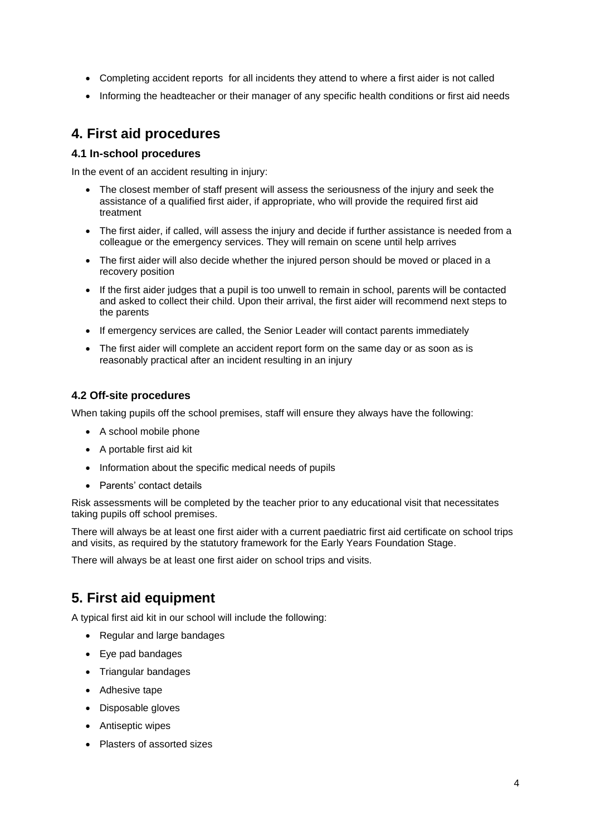- Completing accident reports for all incidents they attend to where a first aider is not called
- Informing the headteacher or their manager of any specific health conditions or first aid needs

### **4. First aid procedures**

#### **4.1 In-school procedures**

In the event of an accident resulting in injury:

- The closest member of staff present will assess the seriousness of the injury and seek the assistance of a qualified first aider, if appropriate, who will provide the required first aid treatment
- The first aider, if called, will assess the injury and decide if further assistance is needed from a colleague or the emergency services. They will remain on scene until help arrives
- The first aider will also decide whether the injured person should be moved or placed in a recovery position
- If the first aider judges that a pupil is too unwell to remain in school, parents will be contacted and asked to collect their child. Upon their arrival, the first aider will recommend next steps to the parents
- If emergency services are called, the Senior Leader will contact parents immediately
- The first aider will complete an accident report form on the same day or as soon as is reasonably practical after an incident resulting in an injury

#### **4.2 Off-site procedures**

When taking pupils off the school premises, staff will ensure they always have the following:

- A school mobile phone
- A portable first aid kit
- Information about the specific medical needs of pupils
- Parents' contact details

Risk assessments will be completed by the teacher prior to any educational visit that necessitates taking pupils off school premises.

There will always be at least one first aider with a current paediatric first aid certificate on school trips and visits, as required by the statutory framework for the Early Years Foundation Stage.

There will always be at least one first aider on school trips and visits.

### **5. First aid equipment**

A typical first aid kit in our school will include the following:

- Regular and large bandages
- Eye pad bandages
- Triangular bandages
- Adhesive tape
- Disposable gloves
- Antiseptic wipes
- Plasters of assorted sizes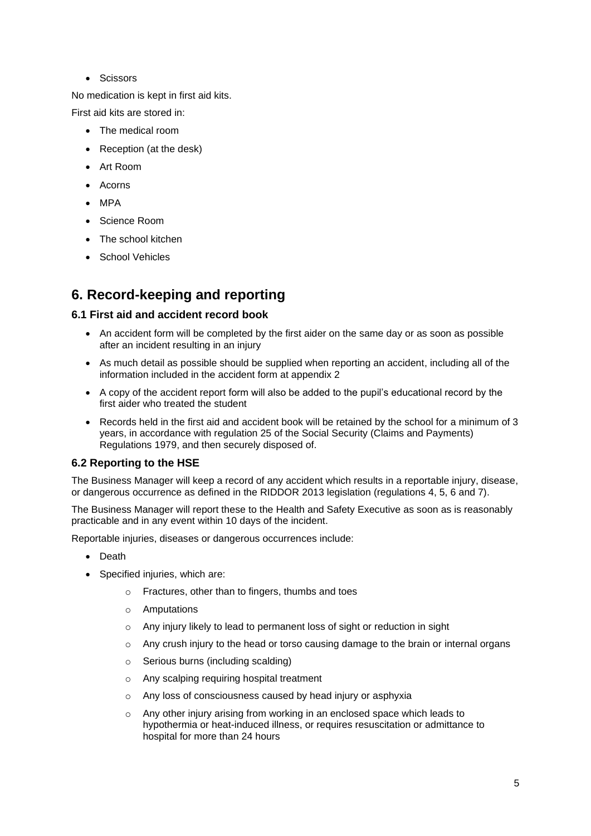• Scissors

No medication is kept in first aid kits.

First aid kits are stored in:

- The medical room
- Reception (at the desk)
- Art Room
- Acorns
- MPA
- Science Room
- The school kitchen
- School Vehicles

### **6. Record-keeping and reporting**

#### **6.1 First aid and accident record book**

- An accident form will be completed by the first aider on the same day or as soon as possible after an incident resulting in an injury
- As much detail as possible should be supplied when reporting an accident, including all of the information included in the accident form at appendix 2
- A copy of the accident report form will also be added to the pupil's educational record by the first aider who treated the student
- Records held in the first aid and accident book will be retained by the school for a minimum of 3 years, in accordance with regulation 25 of the Social Security (Claims and Payments) Regulations 1979, and then securely disposed of.

#### **6.2 Reporting to the HSE**

The Business Manager will keep a record of any accident which results in a reportable injury, disease, or dangerous occurrence as defined in the RIDDOR 2013 legislation (regulations 4, 5, 6 and 7).

The Business Manager will report these to the Health and Safety Executive as soon as is reasonably practicable and in any event within 10 days of the incident.

Reportable injuries, diseases or dangerous occurrences include:

- Death
- Specified injuries, which are:
	- o Fractures, other than to fingers, thumbs and toes
	- o Amputations
	- o Any injury likely to lead to permanent loss of sight or reduction in sight
	- o Any crush injury to the head or torso causing damage to the brain or internal organs
	- o Serious burns (including scalding)
	- o Any scalping requiring hospital treatment
	- o Any loss of consciousness caused by head injury or asphyxia
	- $\circ$  Any other injury arising from working in an enclosed space which leads to hypothermia or heat-induced illness, or requires resuscitation or admittance to hospital for more than 24 hours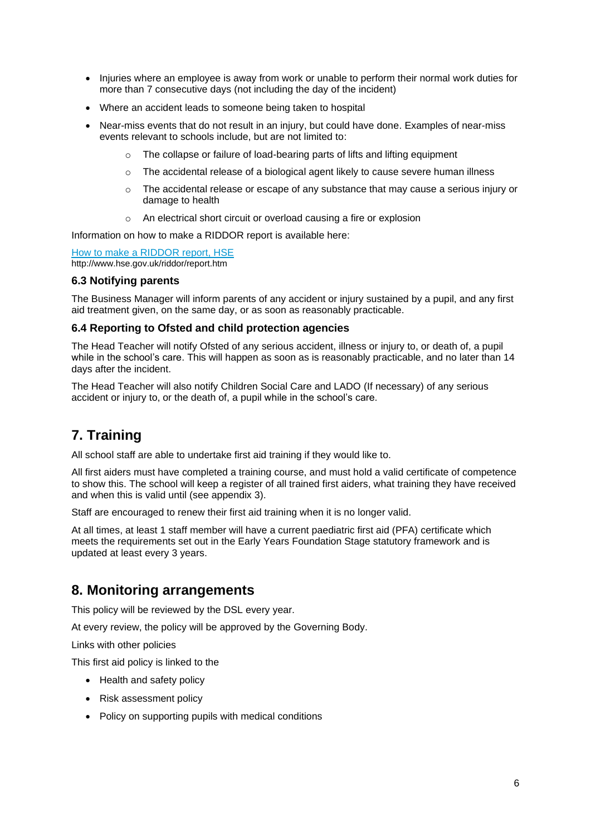- Injuries where an employee is away from work or unable to perform their normal work duties for more than 7 consecutive days (not including the day of the incident)
- Where an accident leads to someone being taken to hospital
- Near-miss events that do not result in an injury, but could have done. Examples of near-miss events relevant to schools include, but are not limited to:
	- The collapse or failure of load-bearing parts of lifts and lifting equipment
	- $\circ$  The accidental release of a biological agent likely to cause severe human illness
	- o The accidental release or escape of any substance that may cause a serious injury or damage to health
	- o An electrical short circuit or overload causing a fire or explosion

Information on how to make a RIDDOR report is available here:

[How to make a RIDDOR report, HSE](http://www.hse.gov.uk/riddor/report.htm) http://www.hse.gov.uk/riddor/report.htm

#### **6.3 Notifying parents**

The Business Manager will inform parents of any accident or injury sustained by a pupil, and any first aid treatment given, on the same day, or as soon as reasonably practicable.

#### **6.4 Reporting to Ofsted and child protection agencies**

The Head Teacher will notify Ofsted of any serious accident, illness or injury to, or death of, a pupil while in the school's care. This will happen as soon as is reasonably practicable, and no later than 14 days after the incident.

The Head Teacher will also notify Children Social Care and LADO (If necessary) of any serious accident or injury to, or the death of, a pupil while in the school's care.

### **7. Training**

All school staff are able to undertake first aid training if they would like to.

All first aiders must have completed a training course, and must hold a valid certificate of competence to show this. The school will keep a register of all trained first aiders, what training they have received and when this is valid until (see appendix 3).

Staff are encouraged to renew their first aid training when it is no longer valid.

At all times, at least 1 staff member will have a current paediatric first aid (PFA) certificate which meets the requirements set out in the Early Years Foundation Stage statutory framework and is updated at least every 3 years.

#### **8. Monitoring arrangements**

This policy will be reviewed by the DSL every year.

At every review, the policy will be approved by the Governing Body.

Links with other policies

This first aid policy is linked to the

- Health and safety policy
- Risk assessment policy
- Policy on supporting pupils with medical conditions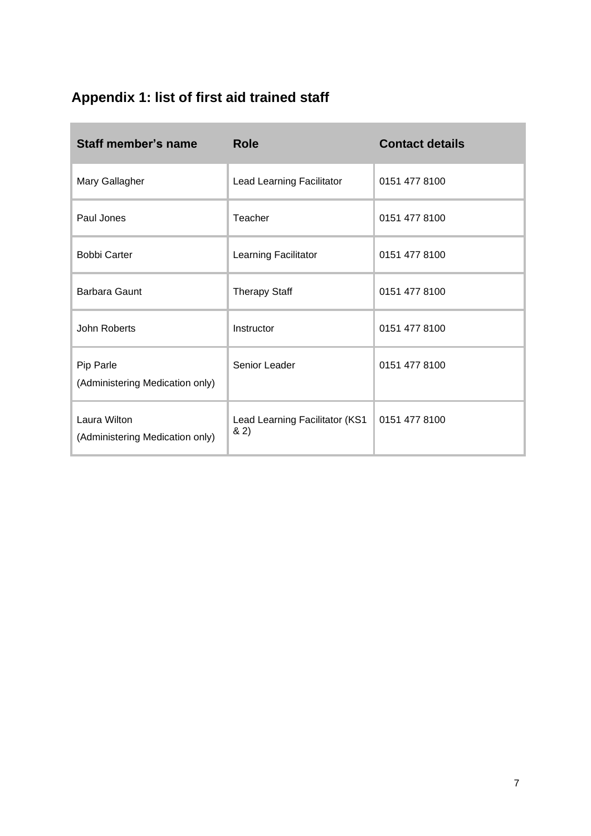# **Appendix 1: list of first aid trained staff**

| Staff member's name                             | <b>Role</b>                           | <b>Contact details</b> |  |
|-------------------------------------------------|---------------------------------------|------------------------|--|
| Mary Gallagher                                  | Lead Learning Facilitator             | 0151 477 8100          |  |
| Paul Jones                                      | Teacher                               | 0151 477 8100          |  |
| <b>Bobbi Carter</b>                             | Learning Facilitator                  | 0151 477 8100          |  |
| <b>Barbara Gaunt</b>                            | <b>Therapy Staff</b>                  | 0151 477 8100          |  |
| John Roberts                                    | Instructor                            | 0151 477 8100          |  |
| Pip Parle<br>(Administering Medication only)    | Senior Leader                         | 0151 477 8100          |  |
| Laura Wilton<br>(Administering Medication only) | Lead Learning Facilitator (KS1<br>82) | 0151 477 8100          |  |